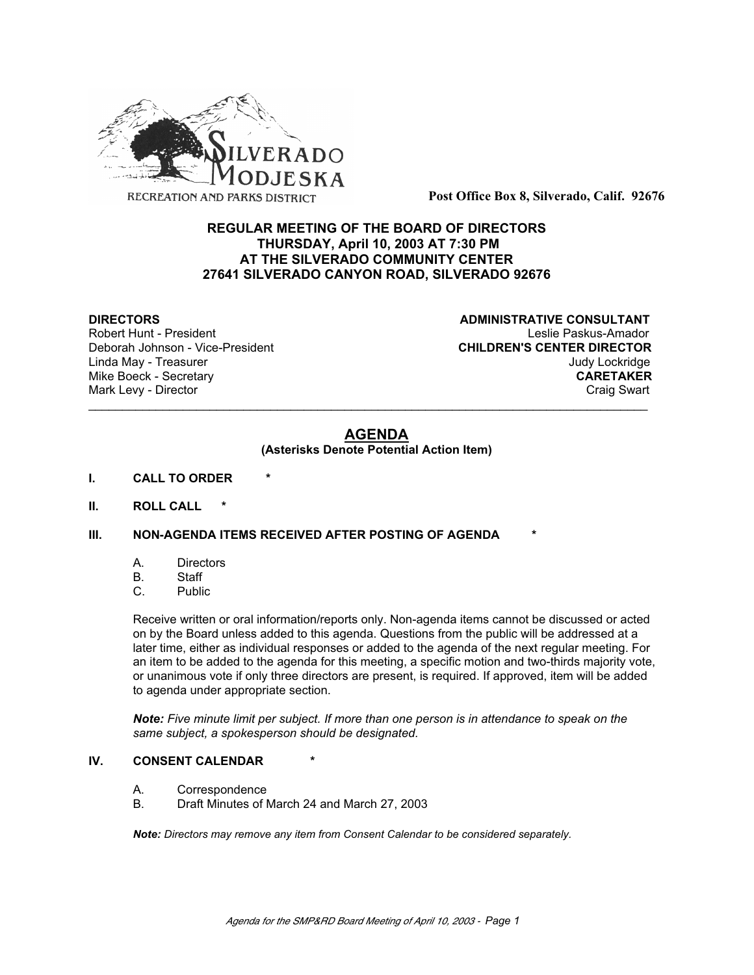

**Post Office Box 8, Silverado, Calif. 92676**

# **REGULAR MEETING OF THE BOARD OF DIRECTORS THURSDAY, April 10, 2003 AT 7:30 PM AT THE SILVERADO COMMUNITY CENTER 27641 SILVERADO CANYON ROAD, SILVERADO 92676**

Deborah Johnson - Vice-President

**DIRECTORS CONSULTANT** Robert Hunt - President<br>
Deborah Johnson - Vice-President 
Leslie Paskus-Amador<br>
CHILDREN'S CENTER DIRECTOR Linda May - Treasurer Judy Lockridge Mike Boeck - Secretary **CARETAKER** Mark Levy - Director **Craig Swart** Craig Swart Craig Swart Craig Swart

# **AGENDA**

\_\_\_\_\_\_\_\_\_\_\_\_\_\_\_\_\_\_\_\_\_\_\_\_\_\_\_\_\_\_\_\_\_\_\_\_\_\_\_\_\_\_\_\_\_\_\_\_\_\_\_\_\_\_\_\_\_\_\_\_\_\_\_\_\_\_\_\_\_\_\_\_\_\_\_\_\_\_\_\_\_\_\_

#### **(Asterisks Denote Potential Action Item)**

- **I. CALL TO ORDER \***
- **II. ROLL CALL \***

## **III. NON-AGENDA ITEMS RECEIVED AFTER POSTING OF AGENDA**

- A. Directors
- B. Staff
- C. Public

Receive written or oral information/reports only. Non-agenda items cannot be discussed or acted on by the Board unless added to this agenda. Questions from the public will be addressed at a later time, either as individual responses or added to the agenda of the next regular meeting. For an item to be added to the agenda for this meeting, a specific motion and two-thirds majority vote, or unanimous vote if only three directors are present, is required. If approved, item will be added to agenda under appropriate section.

*Note: Five minute limit per subject. If more than one person is in attendance to speak on the same subject, a spokesperson should be designated.*

#### **IV. CONSENT CALENDAR**

- A. Correspondence
- B. Draft Minutes of March 24 and March 27, 2003

*Note: Directors may remove any item from Consent Calendar to be considered separately.*